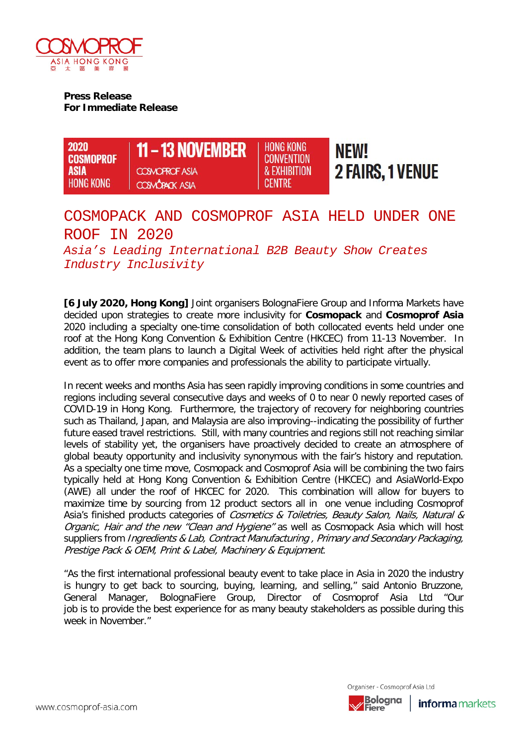

**Press Release For Immediate Release** 



# COSMOPACK AND COSMOPROF ASIA HELD UNDER ONE ROOF IN 2020

*Asia's Leading International B2B Beauty Show Creates Industry Inclusivity*

**[6 July 2020, Hong Kong]** Joint organisers BolognaFiere Group and Informa Markets have decided upon strategies to create more inclusivity for **Cosmopack** and **Cosmoprof Asia** 2020 including a specialty one-time consolidation of both collocated events held under one roof at the Hong Kong Convention & Exhibition Centre (HKCEC) from 11-13 November. In addition, the team plans to launch a Digital Week of activities held right after the physical event as to offer more companies and professionals the ability to participate virtually.

In recent weeks and months Asia has seen rapidly improving conditions in some countries and regions including several consecutive days and weeks of 0 to near 0 newly reported cases of COVID-19 in Hong Kong. Furthermore, the trajectory of recovery for neighboring countries such as Thailand, Japan, and Malaysia are also improving--indicating the possibility of further future eased travel restrictions. Still, with many countries and regions still not reaching similar levels of stability yet, the organisers have proactively decided to create an atmosphere of global beauty opportunity and inclusivity synonymous with the fair's history and reputation. As a specialty one time move, Cosmopack and Cosmoprof Asia will be combining the two fairs typically held at Hong Kong Convention & Exhibition Centre (HKCEC) and AsiaWorld-Expo (AWE) all under the roof of HKCEC for 2020. This combination will allow for buyers to maximize time by sourcing from 12 product sectors all in one venue including Cosmoprof Asia's finished products categories of Cosmetics & Toiletries, Beauty Salon, Nails, Natural & Organic, Hair and the new "Clean and Hygiene" as well as Cosmopack Asia which will host suppliers from *Ingredients & Lab, Contract Manufacturing, Primary and Secondary Packaging,* Prestige Pack & OEM, Print & Label, Machinery & Equipment.

"As the first international professional beauty event to take place in Asia in 2020 the industry is hungry to get back to sourcing, buying, learning, and selling," said Antonio Bruzzone,<br>General Manager, BolognaFiere Group, Director of Cosmoprof Asia Ltd "Our General Manager, BolognaFiere Group, Director of Cosmoprof Asia Ltd "Our job is to provide the best experience for as many beauty stakeholders as possible during this week in November."



Organiser - Cosmoprof Asia Ltd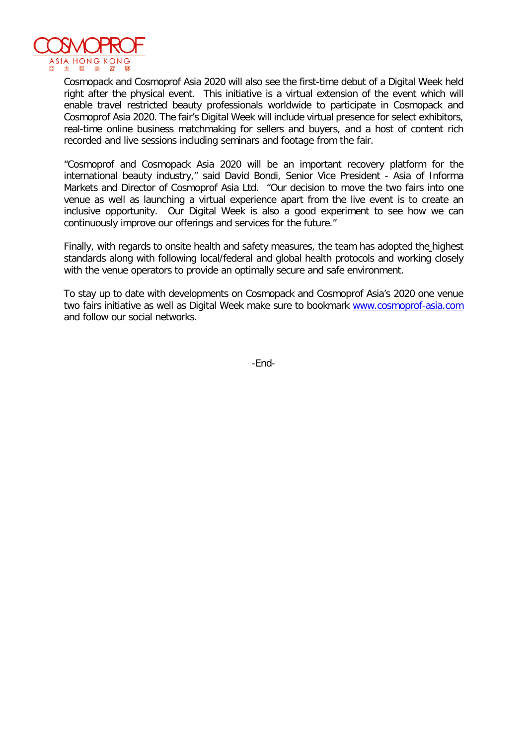

Cosmopack and Cosmoprof Asia 2020 will also see the first-time debut of a Digital Week held right after the physical event. This initiative is a virtual extension of the event which will enable travel restricted beauty professionals worldwide to participate in Cosmopack and Cosmoprof Asia 2020. The fair's Digital Week will include virtual presence for select exhibitors, real-time online business matchmaking for sellers and buyers, and a host of content rich recorded and live sessions including seminars and footage from the fair.

"Cosmoprof and Cosmopack Asia 2020 will be an important recovery platform for the international beauty industry," said David Bondi, Senior Vice President - Asia of Informa Markets and Director of Cosmoprof Asia Ltd. "Our decision to move the two fairs into one venue as well as launching a virtual experience apart from the live event is to create an inclusive opportunity. Our Digital Week is also a good experiment to see how we can continuously improve our offerings and services for the future."

Finally, with regards to onsite health and safety measures, the team has adopted the highest standards along with following local/federal and global health protocols and working closely with the venue operators to provide an optimally secure and safe environment.

To stay up to date with developments on Cosmopack and Cosmoprof Asia's 2020 one venue two fairs initiative as well as Digital Week make sure to bookmark www.cosmoprof-asia.com and follow our social networks.

-End-